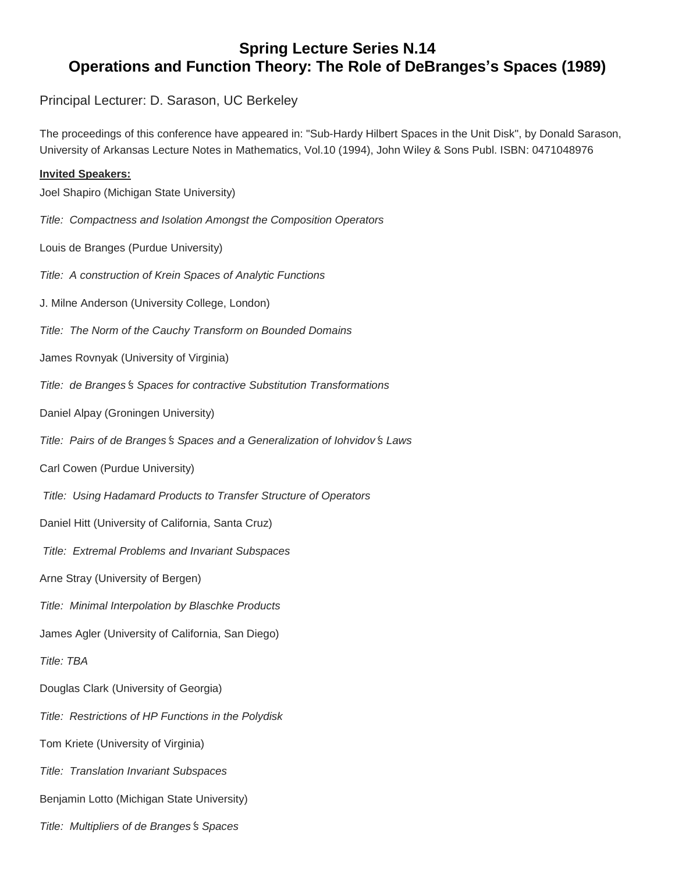## **Spring Lecture Series N.14 Operations and Function Theory: The Role of DeBranges's Spaces (1989)**

Principal Lecturer: D. Sarason, UC Berkeley

The proceedings of this conference have appeared in: "Sub-Hardy Hilbert Spaces in the Unit Disk", by Donald Sarason, University of Arkansas Lecture Notes in Mathematics, Vol.10 (1994), John Wiley & Sons Publ. ISBN: 0471048976

## **Invited Speakers:** Joel Shapiro (Michigan State University) *Title: Compactness and Isolation Amongst the Composition Operators* Louis de Branges (Purdue University) *Title: A construction of Krein Spaces of Analytic Functions* J. Milne Anderson (University College, London) *Title: The Norm of the Cauchy Transform on Bounded Domains* James Rovnyak (University of Virginia) *Title: de Branges*'*s Spaces for contractive Substitution Transformations* Daniel Alpay (Groningen University) *Title: Pairs of de Branges*'*s Spaces and a Generalization of Iohvidov*'*s Laws* Carl Cowen (Purdue University) *Title: Using Hadamard Products to Transfer Structure of Operators* Daniel Hitt (University of California, Santa Cruz) *Title: Extremal Problems and Invariant Subspaces* Arne Stray (University of Bergen) *Title: Minimal Interpolation by Blaschke Products* James Agler (University of California, San Diego) *Title: TBA* Douglas Clark (University of Georgia) *Title: Restrictions of HP Functions in the Polydisk* Tom Kriete (University of Virginia)

*Title: Translation Invariant Subspaces* 

Benjamin Lotto (Michigan State University)

*Title: Multipliers of de Branges*'*s Spaces*